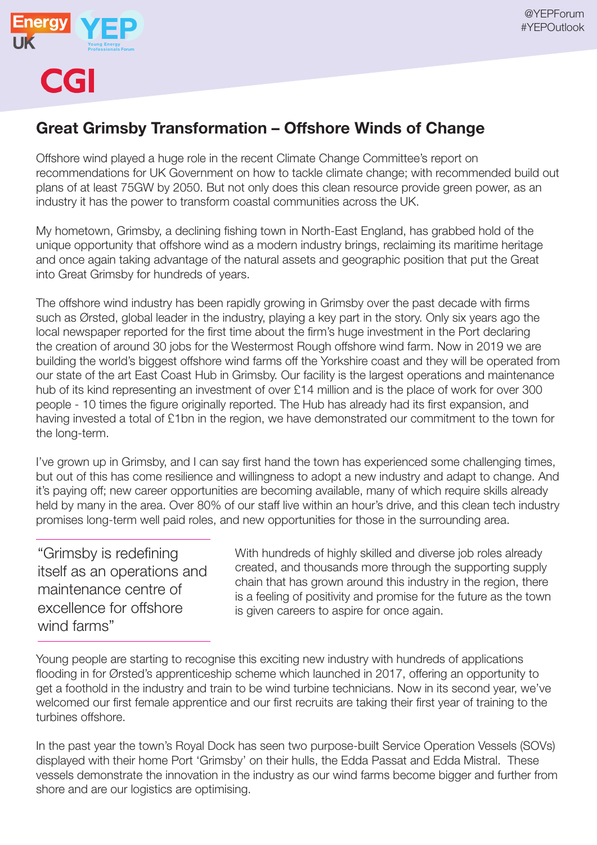

**CGI** 

## Great Grimsby Transformation – Offshore Winds of Change

Offshore wind played a huge role in the recent Climate Change Committee's report on recommendations for UK Government on how to tackle climate change; with recommended build out plans of at least 75GW by 2050. But not only does this clean resource provide green power, as an industry it has the power to transform coastal communities across the UK.

My hometown, Grimsby, a declining fishing town in North-East England, has grabbed hold of the unique opportunity that offshore wind as a modern industry brings, reclaiming its maritime heritage and once again taking advantage of the natural assets and geographic position that put the Great into Great Grimsby for hundreds of years.

The offshore wind industry has been rapidly growing in Grimsby over the past decade with firms such as Ørsted, global leader in the industry, playing a key part in the story. Only six years ago the local newspaper reported for the first time about the firm's huge investment in the Port declaring the creation of around 30 jobs for the Westermost Rough offshore wind farm. Now in 2019 we are building the world's biggest offshore wind farms off the Yorkshire coast and they will be operated from our state of the art East Coast Hub in Grimsby. Our facility is the largest operations and maintenance hub of its kind representing an investment of over £14 million and is the place of work for over 300 people - 10 times the figure originally reported. The Hub has already had its first expansion, and having invested a total of £1bn in the region, we have demonstrated our commitment to the town for the long-term.

I've grown up in Grimsby, and I can say first hand the town has experienced some challenging times, but out of this has come resilience and willingness to adopt a new industry and adapt to change. And it's paying off; new career opportunities are becoming available, many of which require skills already held by many in the area. Over 80% of our staff live within an hour's drive, and this clean tech industry promises long-term well paid roles, and new opportunities for those in the surrounding area.

"Grimsby is redefining itself as an operations and maintenance centre of excellence for offshore wind farms"

With hundreds of highly skilled and diverse job roles already created, and thousands more through the supporting supply chain that has grown around this industry in the region, there is a feeling of positivity and promise for the future as the town is given careers to aspire for once again.

Young people are starting to recognise this exciting new industry with hundreds of applications flooding in for Ørsted's apprenticeship scheme which launched in 2017, offering an opportunity to get a foothold in the industry and train to be wind turbine technicians. Now in its second year, we've welcomed our first female apprentice and our first recruits are taking their first year of training to the turbines offshore.

In the past year the town's Royal Dock has seen two purpose-built Service Operation Vessels (SOVs) displayed with their home Port 'Grimsby' on their hulls, the Edda Passat and Edda Mistral. These vessels demonstrate the innovation in the industry as our wind farms become bigger and further from shore and are our logistics are optimising.